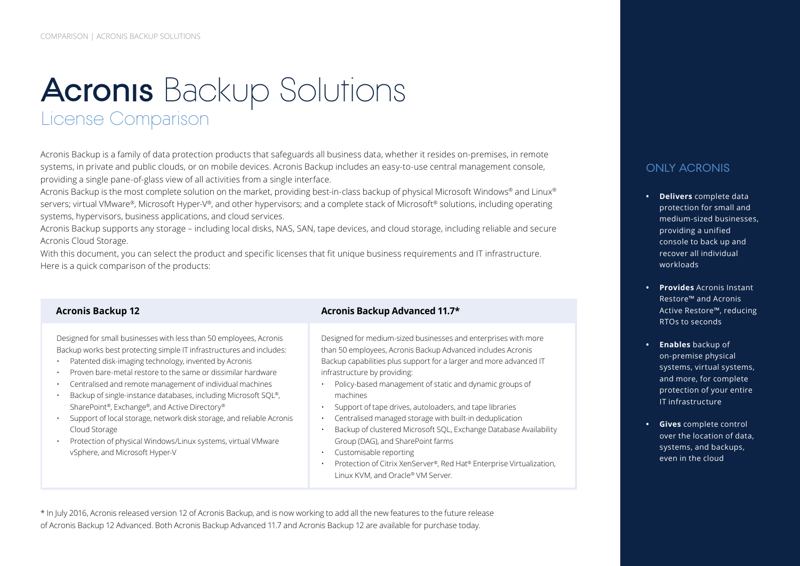# **Acronis** Backup Solutions License Comparison

Acronis Backup is a family of data protection products that safeguards all business data, whether it resides on-premises, in remote systems, in private and public clouds, or on mobile devices. Acronis Backup includes an easy-to-use central management console, providing a single pane-of-glass view of all activities from a single interface.

Acronis Backup is the most complete solution on the market, providing best-in-class backup of physical Microsoft Windows® and Linux® servers; virtual VMware®, Microsoft Hyper-V®, and other hypervisors; and a complete stack of Microsoft® solutions, including operating systems, hypervisors, business applications, and cloud services.

Acronis Backup supports any storage – including local disks, NAS, SAN, tape devices, and cloud storage, including reliable and secure Acronis Cloud Storage.

With this document, you can select the product and specific licenses that fit unique business requirements and IT infrastructure. Here is a quick comparison of the products:

Designed for small businesses with less than 50 employees, Acronis Backup works best protecting simple IT infrastructures and includes:

- Patented disk-imaging technology, invented by Acronis
- Proven bare-metal restore to the same or dissimilar hardware
- Centralised and remote management of individual machines
- Backup of single-instance databases, including Microsoft SQL®, SharePoint®, Exchange®, and Active Directory®
- Support of local storage, network disk storage, and reliable Acronis Cloud Storage
- Protection of physical Windows/Linux systems, virtual VMware vSphere, and Microsoft Hyper-V

#### **Acronis Backup 12 Acronis Backup Advanced 11.7\***

Designed for medium-sized businesses and enterprises with more than 50 employees, Acronis Backup Advanced includes Acronis Backup capabilities plus support for a larger and more advanced IT infrastructure by providing:

- Policy-based management of static and dynamic groups of machines
- Support of tape drives, autoloaders, and tape libraries
- Centralised managed storage with built-in deduplication
- Backup of clustered Microsoft SQL, Exchange Database Availability Group (DAG), and SharePoint farms
- Customisable reporting
- Protection of Citrix XenServer®, Red Hat® Enterprise Virtualization, Linux KVM, and Oracle® VM Server.



#### ONLY ACRONIS

- **• Delivers** complete data protection for small and medium-sized businesses, providing a unified console to back up and recover all individual workloads
- **• Provides** Acronis Instant Restore™ and Acronis Active Restore™, reducing RTOs to seconds
- **• Enables** backup of on-premise physical systems, virtual systems, and more, for complete protection of your entire IT infrastructure
- **• Gives** complete control over the location of data, systems, and backups, even in the cloud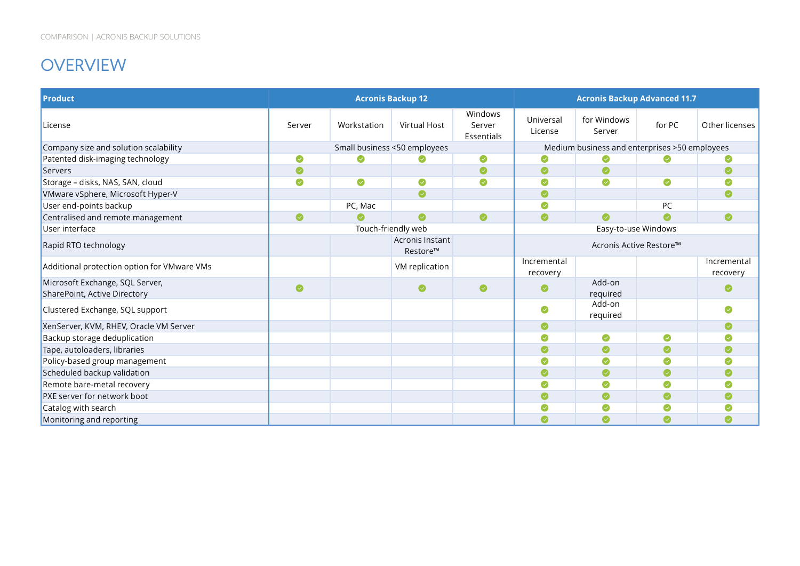## **OVERVIEW**

| <b>Product</b>                                                  |           |             | <b>Acronis Backup 12</b>     |                                 |                         | <b>Acronis Backup Advanced 11.7</b>           |        |                         |
|-----------------------------------------------------------------|-----------|-------------|------------------------------|---------------------------------|-------------------------|-----------------------------------------------|--------|-------------------------|
| License                                                         | Server    | Workstation | <b>Virtual Host</b>          | Windows<br>Server<br>Essentials | Universal<br>License    | for Windows<br>Server                         | for PC | Other licenses          |
| Company size and solution scalability                           |           |             | Small business <50 employees |                                 |                         | Medium business and enterprises >50 employees |        |                         |
| Patented disk-imaging technology                                | ◙         | Ø           |                              | ●                               | Ø                       | Ø                                             |        |                         |
| Servers                                                         | $\bullet$ |             |                              | $\bullet$                       | $\bullet$               | Ø                                             |        | $\bullet$               |
| Storage - disks, NAS, SAN, cloud                                | ◙         | $\bullet$   | Ø                            | ◙                               | $\bullet$               | Ø                                             | ◙      |                         |
| VMware vSphere, Microsoft Hyper-V                               |           |             | ◙                            |                                 | $\bullet$               |                                               |        | Ø                       |
| User end-points backup                                          |           | PC, Mac     |                              |                                 | $\bullet$               |                                               | PC     |                         |
| Centralised and remote management                               | $\bullet$ | Ø           | $\bullet$                    | ◙                               | $\bullet$               | Ø                                             | ◙      | $\bullet$               |
| User interface                                                  |           |             | Touch-friendly web           |                                 | Easy-to-use Windows     |                                               |        |                         |
| Rapid RTO technology                                            |           |             | Acronis Instant<br>Restore™  |                                 | Acronis Active Restore™ |                                               |        |                         |
| Additional protection option for VMware VMs                     |           |             | VM replication               |                                 | Incremental<br>recovery |                                               |        | Incremental<br>recovery |
| Microsoft Exchange, SQL Server,<br>SharePoint, Active Directory | $\bullet$ |             | Ø                            | Ø                               | $\bullet$               | Add-on<br>required                            |        |                         |
| Clustered Exchange, SQL support                                 |           |             |                              |                                 | $\bullet$               | Add-on<br>required                            |        | ☎                       |
| XenServer, KVM, RHEV, Oracle VM Server                          |           |             |                              |                                 | $\bullet$               |                                               |        | ◙                       |
| Backup storage deduplication                                    |           |             |                              |                                 | Ø                       | Ø                                             | Ø      |                         |
| Tape, autoloaders, libraries                                    |           |             |                              |                                 | $\bullet$               | Ø                                             | Ø      |                         |
| Policy-based group management                                   |           |             |                              |                                 | $\bullet$               |                                               |        |                         |
| Scheduled backup validation                                     |           |             |                              |                                 | Ø                       | Ø                                             | Ø      |                         |
| Remote bare-metal recovery                                      |           |             |                              |                                 | Ø                       | Ø                                             | Ø      |                         |
| PXE server for network boot                                     |           |             |                              |                                 | $\bullet$               | ◙                                             | ◙      | $\bullet$               |
| Catalog with search                                             |           |             |                              |                                 | Ø                       | Ø                                             |        |                         |
| Monitoring and reporting                                        |           |             |                              |                                 |                         | Ø                                             | Ø      |                         |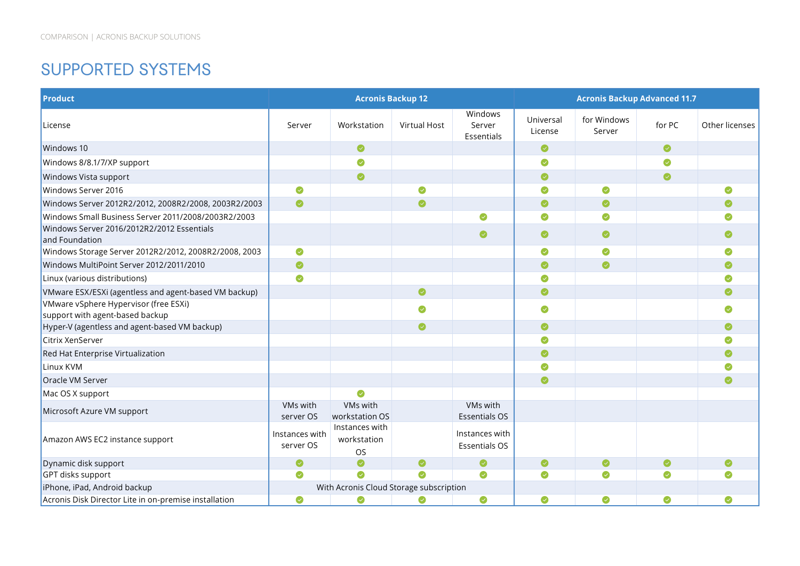#### SUPPORTED SYSTEMS

| <b>Product</b>                                               |                             | <b>Acronis Backup 12</b>                   |              |                                        |                      | <b>Acronis Backup Advanced 11.7</b> |        |                |
|--------------------------------------------------------------|-----------------------------|--------------------------------------------|--------------|----------------------------------------|----------------------|-------------------------------------|--------|----------------|
| License                                                      | Server                      | Workstation                                | Virtual Host | Windows<br>Server<br>Essentials        | Universal<br>License | for Windows<br>Server               | for PC | Other licenses |
| Windows 10                                                   |                             | $\bullet$                                  |              |                                        | $\bullet$            |                                     | ◙      |                |
| Windows 8/8.1/7/XP support                                   |                             | ◙                                          |              |                                        | Ø                    |                                     |        |                |
| Windows Vista support                                        |                             | $\bullet$                                  |              |                                        | $\bullet$            |                                     | ◙      |                |
| Windows Server 2016                                          | Ø                           |                                            | Ø            |                                        | ◙                    | Ø                                   |        | Ø              |
| Windows Server 2012R2/2012, 2008R2/2008, 2003R2/2003         | $\bullet$                   |                                            | $\bullet$    |                                        | ◙                    | ◙                                   |        | ◙              |
| Windows Small Business Server 2011/2008/2003R2/2003          |                             |                                            |              | Ø                                      | ◙                    | $\bullet$                           |        | Ø              |
| Windows Server 2016/2012R2/2012 Essentials<br>and Foundation |                             |                                            |              | $\bullet$                              | ◙                    | $\bullet$                           |        | $\bullet$      |
| Windows Storage Server 2012R2/2012, 2008R2/2008, 2003        | $\bullet$                   |                                            |              |                                        | ◙                    | $\bullet$                           |        | $\bullet$      |
| Windows MultiPoint Server 2012/2011/2010                     | $\bullet$                   |                                            |              |                                        | $\bullet$            | $\bullet$                           |        | $\bullet$      |
| Linux (various distributions)                                | Ø                           |                                            |              |                                        | Ø                    |                                     |        | ◙              |
| VMware ESX/ESXi (agentless and agent-based VM backup)        |                             |                                            | ◙            |                                        | ◙                    |                                     |        | $\bullet$      |
| VMware vSphere Hypervisor (free ESXi)                        |                             |                                            | ◙            |                                        | $\bullet$            |                                     |        | ◙              |
| support with agent-based backup                              |                             |                                            |              |                                        |                      |                                     |        |                |
| Hyper-V (agentless and agent-based VM backup)                |                             |                                            | $\bullet$    |                                        | $\bullet$            |                                     |        | $\bullet$      |
| Citrix XenServer                                             |                             |                                            |              |                                        | ◙                    |                                     |        | ◙              |
| Red Hat Enterprise Virtualization                            |                             |                                            |              |                                        | $\bullet$            |                                     |        | $\bullet$      |
| Linux KVM                                                    |                             |                                            |              |                                        | Ø                    |                                     |        | $\bullet$      |
| Oracle VM Server                                             |                             |                                            |              |                                        | ◙                    |                                     |        | ◙              |
| Mac OS X support                                             |                             | ◙                                          |              |                                        |                      |                                     |        |                |
| Microsoft Azure VM support                                   | VMs with<br>server OS       | VMs with<br>workstation OS                 |              | VMs with<br><b>Essentials OS</b>       |                      |                                     |        |                |
| Amazon AWS EC2 instance support                              | Instances with<br>server OS | Instances with<br>workstation<br><b>OS</b> |              | Instances with<br><b>Essentials OS</b> |                      |                                     |        |                |
| Dynamic disk support                                         | Ø                           | $\bullet$                                  | Ø            | Ø                                      | ◙                    | Ø                                   | ◙      | $\bullet$      |
| GPT disks support                                            | ◙                           | ◙                                          | $\bullet$    | $\bullet$                              | ◙                    | Ø                                   | ◙      | ◙              |
| iPhone, iPad, Android backup                                 |                             | With Acronis Cloud Storage subscription    |              |                                        |                      |                                     |        |                |
| Acronis Disk Director Lite in on-premise installation        | ◙                           | ◙                                          | Ø            | Ø                                      | ◙                    |                                     | Ø      | Ø              |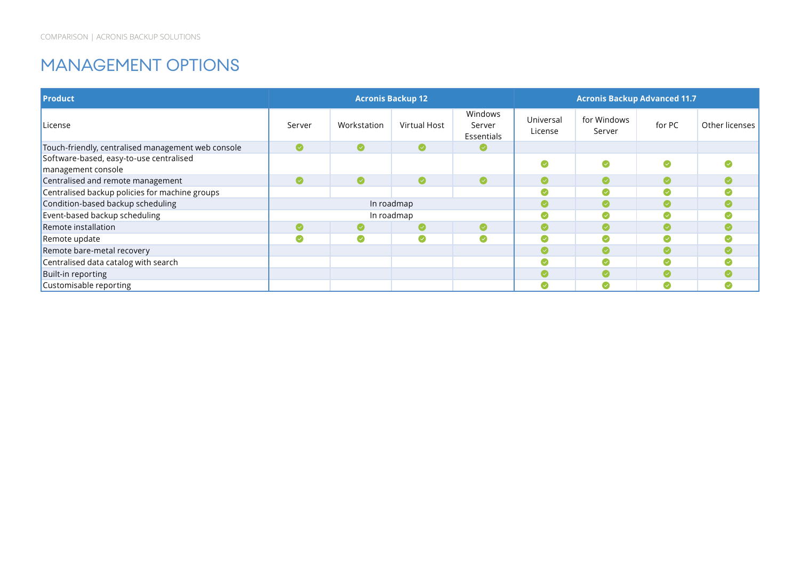#### MANAGEMENT OPTIONS

| <b>Product</b>                                     |           | <b>Acronis Backup 12</b> |              |                                 |                      | <b>Acronis Backup Advanced 11.7</b> |        |                |
|----------------------------------------------------|-----------|--------------------------|--------------|---------------------------------|----------------------|-------------------------------------|--------|----------------|
| License                                            | Server    | Workstation              | Virtual Host | Windows<br>Server<br>Essentials | Universal<br>License | for Windows<br>Server               | for PC | Other licenses |
| Touch-friendly, centralised management web console | $\bullet$ | $\bullet$                | ◙            | Ø                               |                      |                                     |        |                |
| Software-based, easy-to-use centralised            |           |                          |              |                                 | $\bullet$            | Ø                                   |        |                |
| management console                                 |           |                          |              |                                 |                      |                                     |        |                |
| Centralised and remote management                  | $\bullet$ | $\bullet$                | $\bullet$    | ◙                               | Ø                    | $\bullet$                           |        |                |
| Centralised backup policies for machine groups     |           |                          |              |                                 | Ø                    | $\sim$                              |        |                |
| Condition-based backup scheduling                  |           |                          | In roadmap   |                                 | $\bullet$            | $\checkmark$                        |        |                |
| Event-based backup scheduling                      |           |                          | In roadmap   |                                 | Ø                    | (V                                  |        |                |
| Remote installation                                |           |                          | Ø            | ◙                               | $\bullet$            | O                                   |        |                |
| Remote update                                      | $\bullet$ |                          | Ø            |                                 | Ø                    |                                     |        |                |
| Remote bare-metal recovery                         |           |                          |              |                                 | Ø                    |                                     |        |                |
| Centralised data catalog with search               |           |                          |              |                                 | Ø                    | (√                                  |        |                |
| Built-in reporting                                 |           |                          |              |                                 | ◙                    | (√                                  |        |                |
| Customisable reporting                             |           |                          |              |                                 | Ø                    | (√                                  |        |                |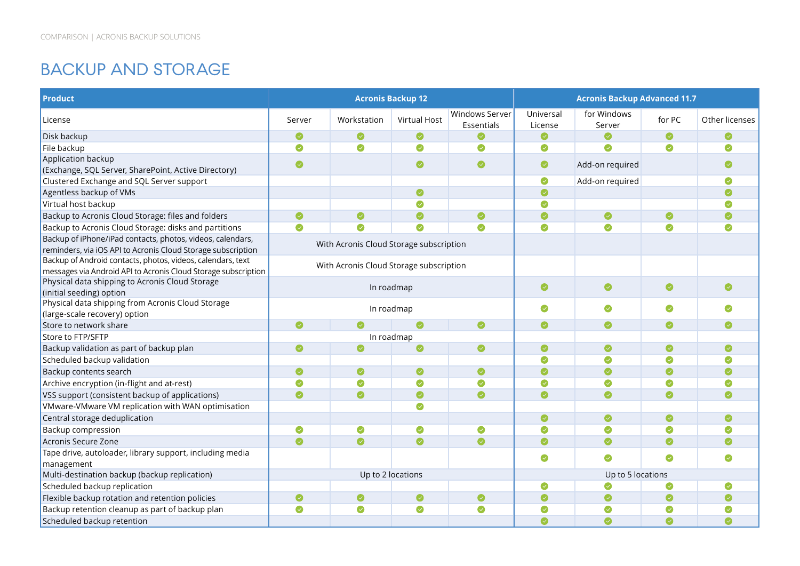#### BACKUP AND STORAGE

| <b>Product</b>                                                                                                                |            |                                         | <b>Acronis Backup 12</b> |                                     |                      | <b>Acronis Backup Advanced 11.7</b> |           |                |
|-------------------------------------------------------------------------------------------------------------------------------|------------|-----------------------------------------|--------------------------|-------------------------------------|----------------------|-------------------------------------|-----------|----------------|
| License                                                                                                                       | Server     | Workstation                             | <b>Virtual Host</b>      | <b>Windows Server</b><br>Essentials | Universal<br>License | for Windows<br>Server               | for PC    | Other licenses |
| Disk backup                                                                                                                   | Ø          | $\bullet$                               | $\bullet$                |                                     | Ø                    | $\bullet$                           | Ø         | Ø              |
| File backup                                                                                                                   | ◙          | $\bullet$                               | ◙                        | $\bullet$                           | $\bullet$            | Ø                                   | ◙         | Ø              |
| Application backup                                                                                                            | $\bullet$  |                                         | ◙                        | Ø                                   | $\bullet$            | Add-on required                     |           |                |
| (Exchange, SQL Server, SharePoint, Active Directory)                                                                          |            |                                         |                          |                                     |                      |                                     |           |                |
| Clustered Exchange and SQL Server support                                                                                     |            |                                         |                          |                                     | $\bullet$            | Add-on required                     |           | Ø              |
| Agentless backup of VMs                                                                                                       |            |                                         | ◙                        |                                     | $\bullet$            |                                     |           | Ø              |
| Virtual host backup                                                                                                           |            |                                         | Ø                        |                                     | Ø                    |                                     |           |                |
| Backup to Acronis Cloud Storage: files and folders                                                                            | ◙          | ◙                                       | ◙                        | Ø                                   | $\bullet$            | $\bullet$                           | Ø         | Ø              |
| Backup to Acronis Cloud Storage: disks and partitions                                                                         | $\bullet$  | $\bullet$                               | Ø                        | $\bullet$                           | $\bullet$            | Ø                                   | $\bullet$ | Ø              |
| Backup of iPhone/iPad contacts, photos, videos, calendars,<br>reminders, via iOS API to Acronis Cloud Storage subscription    |            | With Acronis Cloud Storage subscription |                          |                                     |                      |                                     |           |                |
| Backup of Android contacts, photos, videos, calendars, text<br>messages via Android API to Acronis Cloud Storage subscription |            | With Acronis Cloud Storage subscription |                          |                                     |                      |                                     |           |                |
| Physical data shipping to Acronis Cloud Storage<br>(initial seeding) option                                                   | In roadmap |                                         |                          |                                     | $\bullet$            | $\bullet$                           | ◙         | $\bullet$      |
| Physical data shipping from Acronis Cloud Storage<br>(large-scale recovery) option                                            |            |                                         | In roadmap               |                                     | Ø                    | Ø                                   | Ø         | ◙              |
| Store to network share                                                                                                        | $\bullet$  |                                         | $\bullet$                | $\bullet$                           | $\bullet$            | $\bullet$                           | ◙         | $\bullet$      |
| Store to FTP/SFTP                                                                                                             |            |                                         | In roadmap               |                                     |                      |                                     |           |                |
| Backup validation as part of backup plan                                                                                      | $\bullet$  | $\bullet$                               | ◙                        | $\bullet$                           | $\bullet$            | $\bullet$                           | Ø         | Ø              |
| Scheduled backup validation                                                                                                   |            |                                         |                          |                                     | Ø                    | Ø                                   | $\bullet$ | Ø              |
| Backup contents search                                                                                                        | $\bullet$  | ◙                                       | $\bullet$                | $\bullet$                           | ◙                    |                                     | $\bullet$ | $\bullet$      |
| Archive encryption (in-flight and at-rest)                                                                                    | $\bullet$  | Ø                                       | Ø                        |                                     | Ø                    |                                     | Ø         |                |
| VSS support (consistent backup of applications)                                                                               | $\bullet$  | $\bullet$                               | $\bullet$                | $\bullet$                           | ◙                    | $\bullet$                           | $\bullet$ | Ø              |
| VMware-VMware VM replication with WAN optimisation                                                                            |            |                                         | $\bullet$                |                                     |                      |                                     |           |                |
| Central storage deduplication                                                                                                 |            |                                         |                          |                                     | $\bullet$            | $\bullet$                           | ◙         | $\bullet$      |
| Backup compression                                                                                                            | $\bullet$  | $\bullet$                               | ◙                        | Ø                                   | Ø                    | Ø                                   | $\bullet$ |                |
| Acronis Secure Zone                                                                                                           | $\bullet$  | $\bullet$                               | $\bullet$                | $\bullet$                           | $\bullet$            | ◙                                   | ◙         | Ø              |
| Tape drive, autoloader, library support, including media                                                                      |            |                                         |                          |                                     |                      |                                     |           |                |
| management                                                                                                                    |            |                                         |                          |                                     | Ø                    | ◙                                   | ◙         | Ø              |
| Multi-destination backup (backup replication)                                                                                 |            |                                         | Up to 2 locations        |                                     |                      | Up to 5 locations                   |           |                |
| Scheduled backup replication                                                                                                  |            |                                         |                          |                                     | ◙                    | Ø                                   | Ø         | Ø              |
| Flexible backup rotation and retention policies                                                                               | $\bullet$  | $\bullet$                               | $\bullet$                | Ø                                   | $\bullet$            | $\bullet$                           | Ø         | Ø              |
| Backup retention cleanup as part of backup plan                                                                               | ◙          | ◙                                       | ◙                        | Ø                                   | Ø                    |                                     | Ø         |                |
| Scheduled backup retention                                                                                                    |            |                                         |                          |                                     | $\bullet$            | $\bullet$                           | $\bullet$ |                |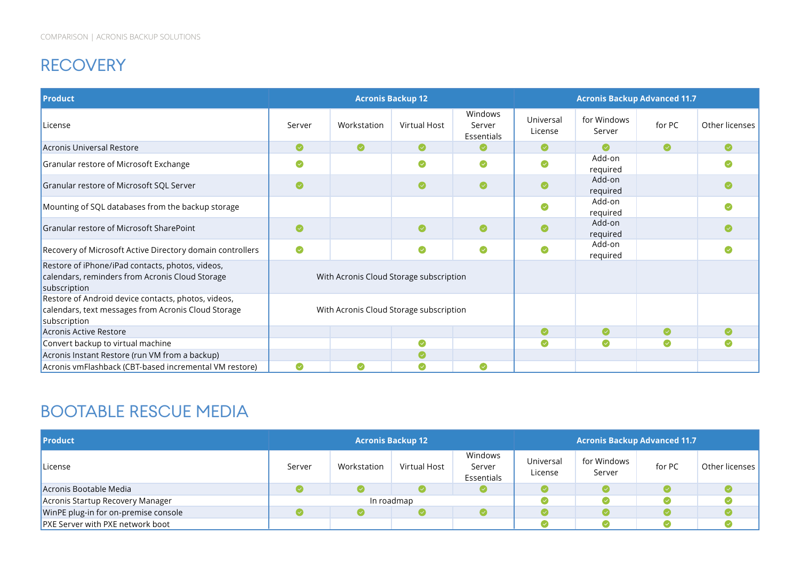### RECOVERY

| <b>Product</b>                                                                                                             |           |             | <b>Acronis Backup 12</b>                |                                 |                      | <b>Acronis Backup Advanced 11.7</b> |           |                |
|----------------------------------------------------------------------------------------------------------------------------|-----------|-------------|-----------------------------------------|---------------------------------|----------------------|-------------------------------------|-----------|----------------|
| License                                                                                                                    | Server    | Workstation | Virtual Host                            | Windows<br>Server<br>Essentials | Universal<br>License | for Windows<br>Server               | for PC    | Other licenses |
| Acronis Universal Restore                                                                                                  | $\bullet$ | $\bullet$   | ◙                                       | Ø                               | $\bullet$            | $\bullet$                           | $\bullet$ | $\bullet$      |
| Granular restore of Microsoft Exchange                                                                                     | $\bullet$ |             | $\bullet$                               | ◙                               | Ø                    | Add-on<br>required                  |           | Ø              |
| Granular restore of Microsoft SQL Server                                                                                   | $\bullet$ |             | ◙                                       | ◙                               | $\bullet$            | Add-on<br>required                  |           | Ø              |
| Mounting of SQL databases from the backup storage                                                                          |           |             |                                         |                                 | $\bullet$            | Add-on<br>required                  |           | Ø              |
| Granular restore of Microsoft SharePoint                                                                                   | $\bullet$ |             | ◙                                       | ◙                               |                      | Add-on<br>required                  |           |                |
| Recovery of Microsoft Active Directory domain controllers                                                                  | $\bullet$ |             | ◙                                       | ◙                               | Ø                    | Add-on<br>required                  |           | ◙              |
| Restore of iPhone/iPad contacts, photos, videos,<br>calendars, reminders from Acronis Cloud Storage<br>subscription        |           |             | With Acronis Cloud Storage subscription |                                 |                      |                                     |           |                |
| Restore of Android device contacts, photos, videos,<br>calendars, text messages from Acronis Cloud Storage<br>subscription |           |             | With Acronis Cloud Storage subscription |                                 |                      |                                     |           |                |
| Acronis Active Restore                                                                                                     |           |             |                                         |                                 | $\bullet$            | $\bullet$                           | ◙         | $\bullet$      |
| Convert backup to virtual machine                                                                                          |           |             |                                         |                                 | $\bullet$            | Ø                                   | Ø         |                |
| Acronis Instant Restore (run VM from a backup)                                                                             |           |             |                                         |                                 |                      |                                     |           |                |
| Acronis vmFlashback (CBT-based incremental VM restore)                                                                     | ◙         | Ø           | Ø                                       | Ø                               |                      |                                     |           |                |

#### BOOTABLE RESCUE MEDIA

| <b>Product</b>                          |        |             | <b>Acronis Backup 12</b> |                                 | <b>Acronis Backup Advanced 11.7</b> |                       |        |                |
|-----------------------------------------|--------|-------------|--------------------------|---------------------------------|-------------------------------------|-----------------------|--------|----------------|
| License                                 | Server | Workstation | Virtual Host             | Windows<br>Server<br>Essentials | Universal<br>License                | for Windows<br>Server | for PC | Other licenses |
| Acronis Bootable Media                  |        |             |                          |                                 |                                     |                       |        |                |
| Acronis Startup Recovery Manager        |        | In roadmap  |                          |                                 |                                     |                       |        |                |
| WinPE plug-in for on-premise console    |        |             |                          |                                 |                                     |                       |        |                |
| <b>PXE Server with PXE network boot</b> |        |             |                          |                                 |                                     |                       |        |                |